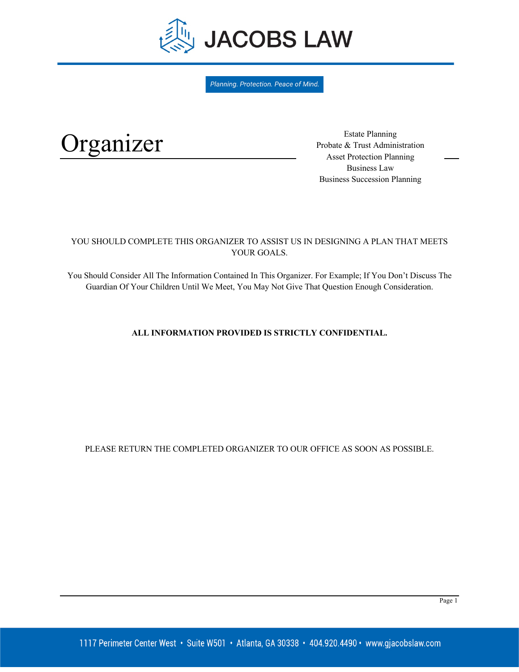

Planning. Protection. Peace of Mind.

# Organizer

Estate Planning Probate & Trust Administration Asset Protection Planning Business Law Business Succession Planning

# YOU SHOULD COMPLETE THIS ORGANIZER TO ASSIST US IN DESIGNING A PLAN THAT MEETS YOUR GOALS.

You Should Consider All The Information Contained In This Organizer. For Example; If You Don't Discuss The Guardian Of Your Children Until We Meet, You May Not Give That Question Enough Consideration.

# **ALL INFORMATION PROVIDED IS STRICTLY CONFIDENTIAL.**

PLEASE RETURN THE COMPLETED ORGANIZER TO OUR OFFICE AS SOON AS POSSIBLE.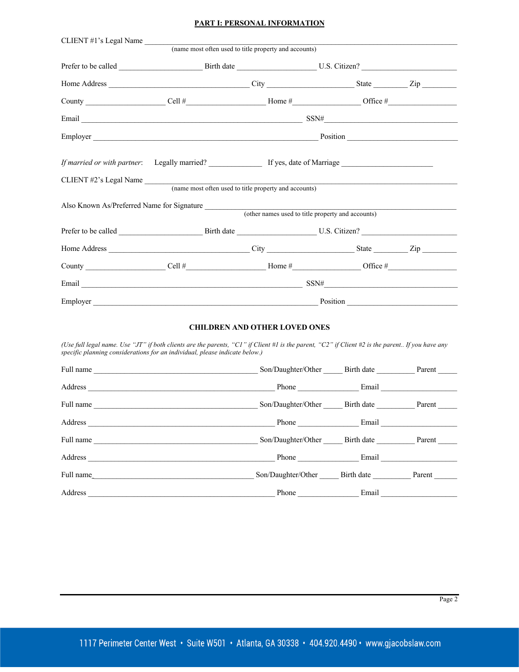# **PART I: PERSONAL INFORMATION**

|                        |                                                       |                                                   | $SSN# \underbrace{\qquad \qquad }$ |  |
|------------------------|-------------------------------------------------------|---------------------------------------------------|------------------------------------|--|
|                        |                                                       |                                                   |                                    |  |
|                        |                                                       |                                                   |                                    |  |
| CLIENT #2's Legal Name |                                                       |                                                   |                                    |  |
|                        | (name most often used to title property and accounts) |                                                   |                                    |  |
|                        | Also Known As/Preferred Name for Signature            |                                                   |                                    |  |
|                        |                                                       | (other names used to title property and accounts) |                                    |  |
|                        |                                                       |                                                   |                                    |  |
|                        |                                                       |                                                   |                                    |  |
|                        |                                                       |                                                   |                                    |  |
|                        |                                                       |                                                   |                                    |  |
| Employer               |                                                       |                                                   | Position                           |  |

#### **CHILDREN AND OTHER LOVED ONES**

*(Use full legal name. Use "JT" if both clients are the parents, "C1" if Client #1 is the parent, "C2" if Client #2 is the parent.. If you have any specific planning considerations for an individual, please indicate below.)*

| Full name<br><u> 1980 - Jan Barbara, martin da basar da basar da basar da basar da basar da basar da basar da basar da basar</u> | Son/Daughter/Other Birth date Parent |                   |  |
|----------------------------------------------------------------------------------------------------------------------------------|--------------------------------------|-------------------|--|
|                                                                                                                                  |                                      | Phone Email Email |  |
| Full name                                                                                                                        | Son/Daughter/Other Birth date Parent |                   |  |
|                                                                                                                                  |                                      | Phone Email       |  |
| Full name                                                                                                                        | Son/Daughter/Other Birth date Parent |                   |  |
|                                                                                                                                  |                                      | Phone Email       |  |
| Full name                                                                                                                        | Son/Daughter/Other Birth date Parent |                   |  |
| Address                                                                                                                          | Phone                                | Email             |  |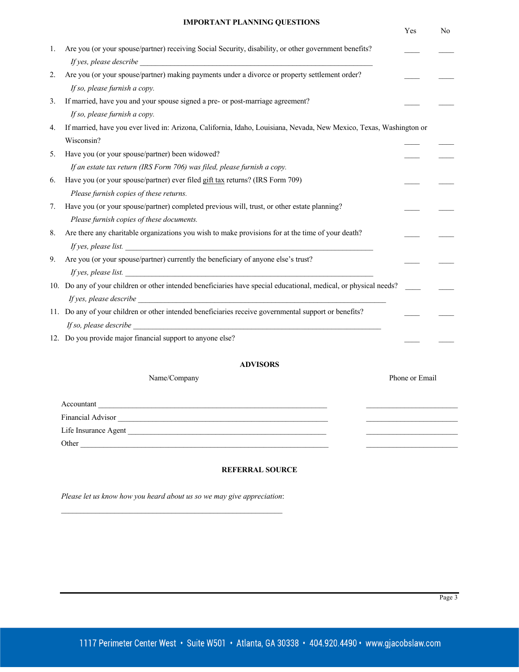|  |  | <b>IMPORTANT PLANNING QUESTIONS</b> |
|--|--|-------------------------------------|
|--|--|-------------------------------------|

|    |                                                                                                                     | Yes            | No |
|----|---------------------------------------------------------------------------------------------------------------------|----------------|----|
| 1. | Are you (or your spouse/partner) receiving Social Security, disability, or other government benefits?               |                |    |
|    |                                                                                                                     |                |    |
| 2. | Are you (or your spouse/partner) making payments under a divorce or property settlement order?                      |                |    |
|    | If so, please furnish a copy.                                                                                       |                |    |
| 3. | If married, have you and your spouse signed a pre- or post-marriage agreement?                                      |                |    |
|    | If so, please furnish a copy.                                                                                       |                |    |
| 4. | If married, have you ever lived in: Arizona, California, Idaho, Louisiana, Nevada, New Mexico, Texas, Washington or |                |    |
|    | Wisconsin?                                                                                                          |                |    |
| 5. | Have you (or your spouse/partner) been widowed?                                                                     |                |    |
|    | If an estate tax return (IRS Form 706) was filed, please furnish a copy.                                            |                |    |
| 6. | Have you (or your spouse/partner) ever filed gift tax returns? (IRS Form 709)                                       |                |    |
|    | Please furnish copies of these returns.                                                                             |                |    |
| 7. | Have you (or your spouse/partner) completed previous will, trust, or other estate planning?                         |                |    |
|    | Please furnish copies of these documents.                                                                           |                |    |
| 8. | Are there any charitable organizations you wish to make provisions for at the time of your death?                   |                |    |
|    | If yes, please list.                                                                                                |                |    |
| 9. | Are you (or your spouse/partner) currently the beneficiary of anyone else's trust?                                  |                |    |
|    | If yes, please list.                                                                                                |                |    |
|    | 10. Do any of your children or other intended beneficiaries have special educational, medical, or physical needs?   |                |    |
|    | $If yes, please describe \fbox{.}$                                                                                  |                |    |
|    | 11. Do any of your children or other intended beneficiaries receive governmental support or benefits?               |                |    |
|    | <i>If so, please describe</i>                                                                                       |                |    |
|    | 12. Do you provide major financial support to anyone else?                                                          |                |    |
|    |                                                                                                                     |                |    |
|    | <b>ADVISORS</b>                                                                                                     |                |    |
|    | Name/Company                                                                                                        | Phone or Email |    |
|    | Accountant                                                                                                          |                |    |

Financial Advisor \_\_\_\_\_\_\_\_\_\_\_\_\_\_\_\_\_\_\_\_\_\_\_\_\_\_\_\_\_\_\_\_\_\_\_\_\_\_\_\_\_\_\_\_\_\_\_\_\_\_\_\_\_\_\_ \_\_\_\_\_\_\_\_\_\_\_\_\_\_\_\_\_\_\_\_\_\_\_\_

Life Insurance Agent \_\_\_\_\_\_\_\_\_\_\_\_\_\_\_\_\_\_\_\_\_\_\_\_\_\_\_\_\_\_\_\_\_\_\_\_\_\_\_\_\_\_\_\_\_\_\_\_\_\_\_\_ \_\_\_\_\_\_\_\_\_\_\_\_\_\_\_\_\_\_\_\_\_\_\_\_

Other \_\_\_\_\_\_\_\_\_\_\_\_\_\_\_\_\_\_\_\_\_\_\_\_\_\_\_\_\_\_\_\_\_\_\_\_\_\_\_\_\_\_\_\_\_\_\_\_\_\_\_\_\_\_\_\_\_\_\_\_\_\_\_\_\_ \_\_\_\_\_\_\_\_\_\_\_\_\_\_\_\_\_\_\_\_\_\_\_\_

#### **REFERRAL SOURCE**

*Please let us know how you heard about us so we may give appreciation*:  $\mathcal{L}_\text{max}$  and the contract of the contract of the contract of the contract of the contract of the contract of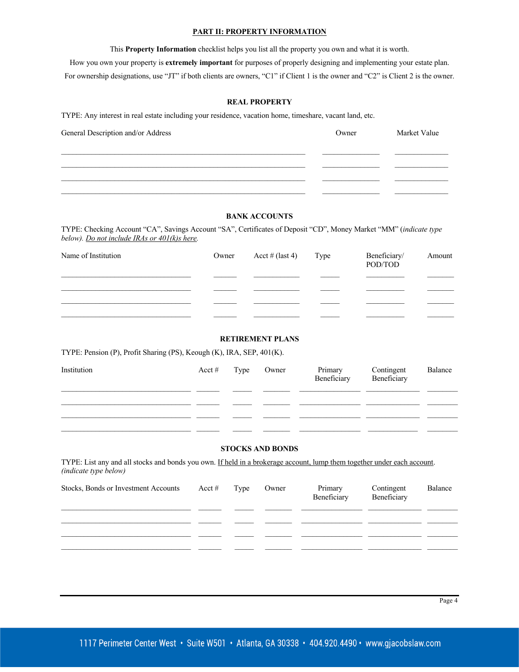#### **PART II: PROPERTY INFORMATION**

This **Property Information** checklist helps you list all the property you own and what it is worth.

How you own your property is **extremely important** for purposes of properly designing and implementing your estate plan. For ownership designations, use "JT" if both clients are owners, "C1" if Client 1 is the owner and "C2" is Client 2 is the owner.

#### **REAL PROPERTY**

TYPE: Any interest in real estate including your residence, vacation home, timeshare, vacant land, etc.

| General Description and/or Address | Owner | Market Value |
|------------------------------------|-------|--------------|
|                                    |       |              |
|                                    |       |              |
|                                    |       |              |
|                                    |       |              |

# **BANK ACCOUNTS**

TYPE: Checking Account "CA", Savings Account "SA", Certificates of Deposit "CD", Money Market "MM" (*indicate type below). Do not include IRAs or 401(k)s here.*

| Name of Institution | Owner | $\text{Acct} \# (\text{last 4})$ Type | Beneficiary/<br>POD/TOD | Amount |
|---------------------|-------|---------------------------------------|-------------------------|--------|
|                     |       |                                       |                         |        |
|                     |       |                                       |                         |        |
|                     |       |                                       |                         |        |
|                     |       |                                       |                         |        |

## **RETIREMENT PLANS**

TYPE: Pension (P), Profit Sharing (PS), Keough (K), IRA, SEP, 401(K).

| Institution | $\text{Acct}\#$ Type Owner |  | Primary Contingent<br>Beneficiary Beneficiary | Balance |
|-------------|----------------------------|--|-----------------------------------------------|---------|
|             |                            |  |                                               |         |
|             |                            |  |                                               |         |
|             |                            |  |                                               |         |
|             |                            |  |                                               |         |

# **STOCKS AND BONDS**

TYPE: List any and all stocks and bonds you own. If held in a brokerage account, lump them together under each account. *(indicate type below)* 

| Stocks, Bonds or Investment Accounts Acct # Type |  | Owner | Primary<br>Beneficiary | Contingent<br>Beneficiary | Balance |
|--------------------------------------------------|--|-------|------------------------|---------------------------|---------|
|                                                  |  |       |                        |                           |         |
|                                                  |  |       |                        |                           |         |
|                                                  |  |       |                        |                           |         |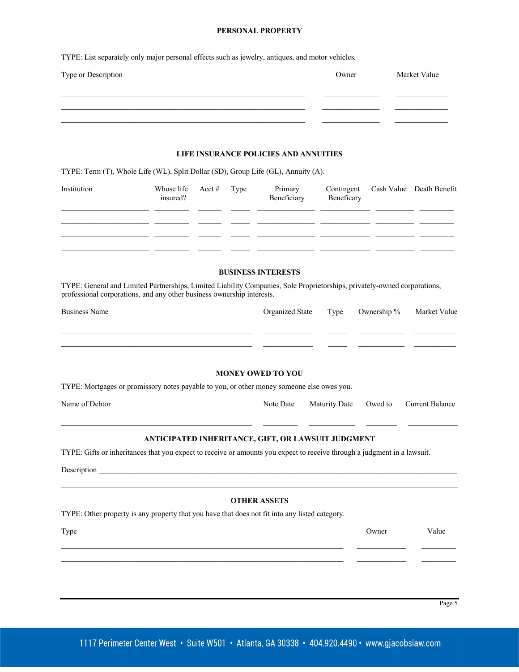#### **PERSONAL PROPERTY**

TYPE: List separately only major personal effects such as jewelry, antiques, and motor vehicles*.* 

| Type or Description | Owner | Market Value |
|---------------------|-------|--------------|
|                     |       |              |
|                     |       |              |
|                     |       |              |
|                     |       |              |

#### **LIFE INSURANCE POLICIES AND ANNUITIES**

TYPE: Term (T), Whole Life (WL), Split Dollar (SD), Group Life (GL), Annuity (A).

| Institution | Whose life $\operatorname{Act}$ # Type<br>insured? |  | Primary<br>Beneficiary | Contingent Cash Value Death Benefit<br>Beneficary |  |
|-------------|----------------------------------------------------|--|------------------------|---------------------------------------------------|--|
|             |                                                    |  |                        |                                                   |  |
|             |                                                    |  |                        |                                                   |  |
|             |                                                    |  |                        |                                                   |  |
|             |                                                    |  |                        |                                                   |  |

#### **BUSINESS INTERESTS**

TYPE: General and Limited Partnerships, Limited Liability Companies, Sole Proprietorships, privately-owned corporations, professional corporations, and any other business ownership interests.

| Business Name            | Organized State Type Ownership % |  |  | Market Value |  |  |
|--------------------------|----------------------------------|--|--|--------------|--|--|
|                          |                                  |  |  |              |  |  |
|                          |                                  |  |  |              |  |  |
|                          |                                  |  |  |              |  |  |
| <b>MONEY OWED TO YOU</b> |                                  |  |  |              |  |  |

TYPE: Mortgages or promissory notes payable to you, or other money someone else owes you.

| Name of Debtor |  |  |
|----------------|--|--|
|                |  |  |

Note Date Maturity Date Owed to Current Balance

# **ANTICIPATED INHERITANCE, GIFT, OR LAWSUIT JUDGMENT**

TYPE: Gifts or inheritances that you expect to receive or amounts you expect to receive through a judgment in a lawsuit.

Description **Example** 

#### **OTHER ASSETS**

 $\_$  , and the set of the set of the set of the set of the set of the set of the set of the set of the set of the set of the set of the set of the set of the set of the set of the set of the set of the set of the set of th

TYPE: Other property is any property that you have that does not fit into any listed category.

Type Contract Contract Contract Contract Contract Contract Contract Contract Contract Contract Contract Contract Contract Contract Contract Contract Contract Contract Contract Contract Contract Contract Contract Contract C  $\_$  , and the set of the set of the set of the set of the set of the set of the set of the set of the set of the set of the set of the set of the set of the set of the set of the set of the set of the set of the set of th

Page 5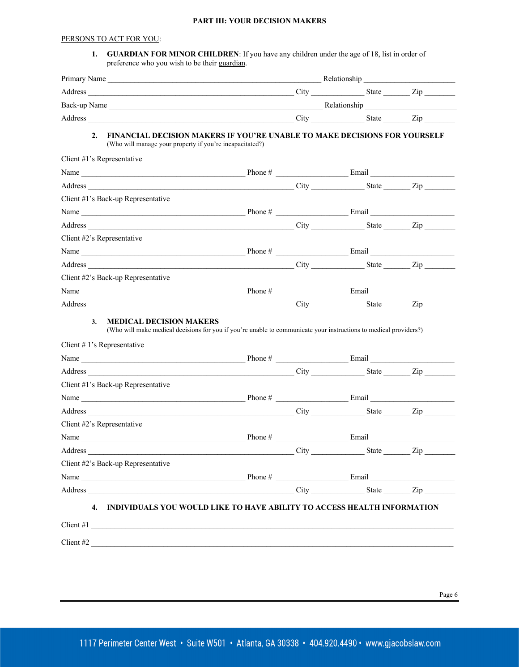### **PART III: YOUR DECISION MAKERS**

# PERSONS TO ACT FOR YOU:

**1. GUARDIAN FOR MINOR CHILDREN**: If you have any children under the age of 18, list in order of preference who you wish to be their guardian.

| 2.<br>(Who will manage your property if you're incapacitated?)                                                                                                                                                                                                                                                                                                                                                                                                                                                   | <b>FINANCIAL DECISION MAKERS IF YOU'RE UNABLE TO MAKE DECISIONS FOR YOURSELF</b>                                  |                             |  |
|------------------------------------------------------------------------------------------------------------------------------------------------------------------------------------------------------------------------------------------------------------------------------------------------------------------------------------------------------------------------------------------------------------------------------------------------------------------------------------------------------------------|-------------------------------------------------------------------------------------------------------------------|-----------------------------|--|
| Client #1's Representative                                                                                                                                                                                                                                                                                                                                                                                                                                                                                       |                                                                                                                   |                             |  |
|                                                                                                                                                                                                                                                                                                                                                                                                                                                                                                                  |                                                                                                                   |                             |  |
|                                                                                                                                                                                                                                                                                                                                                                                                                                                                                                                  |                                                                                                                   |                             |  |
| Client #1's Back-up Representative                                                                                                                                                                                                                                                                                                                                                                                                                                                                               |                                                                                                                   |                             |  |
|                                                                                                                                                                                                                                                                                                                                                                                                                                                                                                                  |                                                                                                                   |                             |  |
|                                                                                                                                                                                                                                                                                                                                                                                                                                                                                                                  |                                                                                                                   |                             |  |
| Client #2's Representative                                                                                                                                                                                                                                                                                                                                                                                                                                                                                       |                                                                                                                   |                             |  |
|                                                                                                                                                                                                                                                                                                                                                                                                                                                                                                                  |                                                                                                                   |                             |  |
|                                                                                                                                                                                                                                                                                                                                                                                                                                                                                                                  |                                                                                                                   |                             |  |
|                                                                                                                                                                                                                                                                                                                                                                                                                                                                                                                  |                                                                                                                   |                             |  |
|                                                                                                                                                                                                                                                                                                                                                                                                                                                                                                                  |                                                                                                                   |                             |  |
|                                                                                                                                                                                                                                                                                                                                                                                                                                                                                                                  |                                                                                                                   |                             |  |
| Client #2's Back-up Representative<br><b>MEDICAL DECISION MAKERS</b><br>3.                                                                                                                                                                                                                                                                                                                                                                                                                                       |                                                                                                                   |                             |  |
|                                                                                                                                                                                                                                                                                                                                                                                                                                                                                                                  | (Who will make medical decisions for you if you're unable to communicate your instructions to medical providers?) |                             |  |
|                                                                                                                                                                                                                                                                                                                                                                                                                                                                                                                  |                                                                                                                   |                             |  |
|                                                                                                                                                                                                                                                                                                                                                                                                                                                                                                                  |                                                                                                                   |                             |  |
|                                                                                                                                                                                                                                                                                                                                                                                                                                                                                                                  |                                                                                                                   |                             |  |
|                                                                                                                                                                                                                                                                                                                                                                                                                                                                                                                  |                                                                                                                   |                             |  |
|                                                                                                                                                                                                                                                                                                                                                                                                                                                                                                                  |                                                                                                                   |                             |  |
| Client # 1's Representative<br>Client #1's Back-up Representative<br>Client #2's Representative<br>Name $\frac{1}{\sqrt{1-\frac{1}{2}}\sqrt{1-\frac{1}{2}}\sqrt{1-\frac{1}{2}}\sqrt{1-\frac{1}{2}}\sqrt{1-\frac{1}{2}}\sqrt{1-\frac{1}{2}}\sqrt{1-\frac{1}{2}}\sqrt{1-\frac{1}{2}}\sqrt{1-\frac{1}{2}}\sqrt{1-\frac{1}{2}}\sqrt{1-\frac{1}{2}}\sqrt{1-\frac{1}{2}}\sqrt{1-\frac{1}{2}}\sqrt{1-\frac{1}{2}}\sqrt{1-\frac{1}{2}}\sqrt{1-\frac{1}{2}}\sqrt{1-\frac{1}{2}}\sqrt{1-\frac{1}{2}}\sqrt{1-\frac{1}{2}}\$ |                                                                                                                   |                             |  |
| Address                                                                                                                                                                                                                                                                                                                                                                                                                                                                                                          |                                                                                                                   | $City$ $City$ $State$ $Zip$ |  |
| Client #2's Back-up Representative                                                                                                                                                                                                                                                                                                                                                                                                                                                                               |                                                                                                                   |                             |  |
|                                                                                                                                                                                                                                                                                                                                                                                                                                                                                                                  |                                                                                                                   |                             |  |